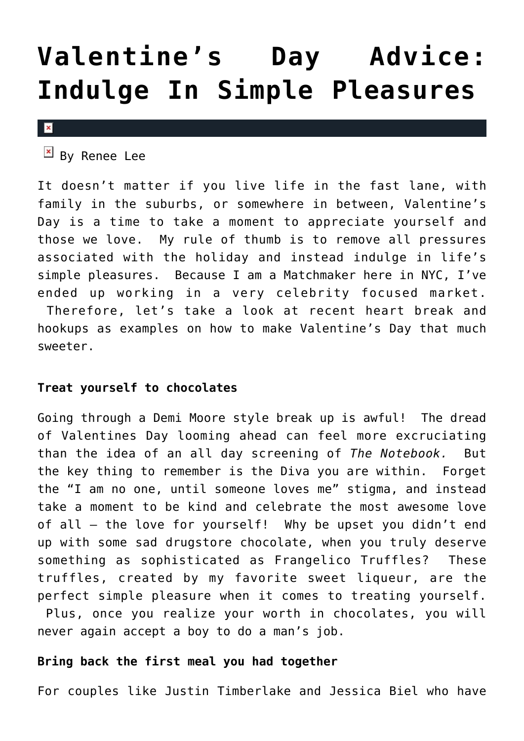# **[Valentine's Day Advice:](https://cupidspulse.com/26916/valentines-day-advice-simple-pleasures-activities/) [Indulge In Simple Pleasures](https://cupidspulse.com/26916/valentines-day-advice-simple-pleasures-activities/)**

 $\pmb{\times}$ 

# $\boxed{\times}$  By Renee Lee

It doesn't matter if you live life in the fast lane, with family in the suburbs, or somewhere in between, Valentine's Day is a time to take a moment to appreciate yourself and those we love. My rule of thumb is to remove all pressures associated with the holiday and instead indulge in life's simple pleasures. Because I am a Matchmaker here in NYC, I've ended up working in a very celebrity focused market. Therefore, let's take a look at recent heart break and hookups as examples on how to make Valentine's Day that much

sweeter.

## **Treat yourself to chocolates**

Going through a Demi Moore style break up is awful! The dread of Valentines Day looming ahead can feel more excruciating than the idea of an all day screening of *The Notebook.* But the key thing to remember is the Diva you are within. Forget the "I am no one, until someone loves me" stigma, and instead take a moment to be kind and celebrate the most awesome love of all – the love for yourself! Why be upset you didn't end up with some sad drugstore chocolate, when you truly deserve something as sophisticated as Frangelico Truffles? These truffles, created by my favorite sweet liqueur, are the perfect simple pleasure when it comes to treating yourself. Plus, once you realize your worth in chocolates, you will never again accept a boy to do a man's job.

# **Bring back the first meal you had together**

For couples like Justin Timberlake and Jessica Biel who have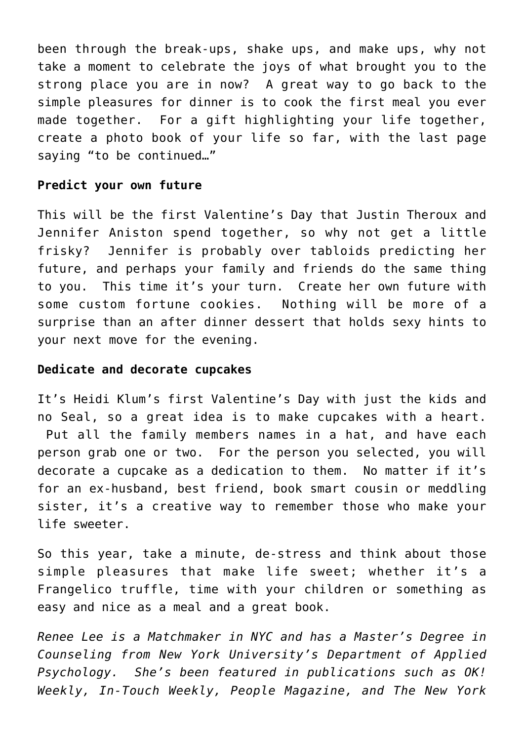been through the break-ups, shake ups, and make ups, why not take a moment to celebrate the joys of what brought you to the strong place you are in now? A great way to go back to the simple pleasures for dinner is to cook the first meal you ever made together. For a gift highlighting your life together, create a photo book of your life so far, with the last page saying "to be continued…"

## **Predict your own future**

This will be the first Valentine's Day that Justin Theroux and Jennifer Aniston spend together, so why not get a little frisky? Jennifer is probably over tabloids predicting her future, and perhaps your family and friends do the same thing to you. This time it's your turn. Create her own future with some custom fortune cookies. Nothing will be more of a surprise than an after dinner dessert that holds sexy hints to your next move for the evening.

## **Dedicate and decorate cupcakes**

It's Heidi Klum's first Valentine's Day with just the kids and no Seal, so a great idea is to make cupcakes with a heart. Put all the family members names in a hat, and have each person grab one or two. For the person you selected, you will decorate a cupcake as a dedication to them. No matter if it's for an ex-husband, best friend, book smart cousin or meddling sister, it's a creative way to remember those who make your life sweeter.

So this year, take a minute, de-stress and think about those simple pleasures that make life sweet; whether it's a Frangelico truffle, time with your children or something as easy and nice as a meal and a great book.

*Renee Lee is a Matchmaker in NYC and has a Master's Degree in Counseling from New York University's Department of Applied Psychology. She's been featured in publications such as OK! Weekly, In-Touch Weekly, People Magazine, and The New York*